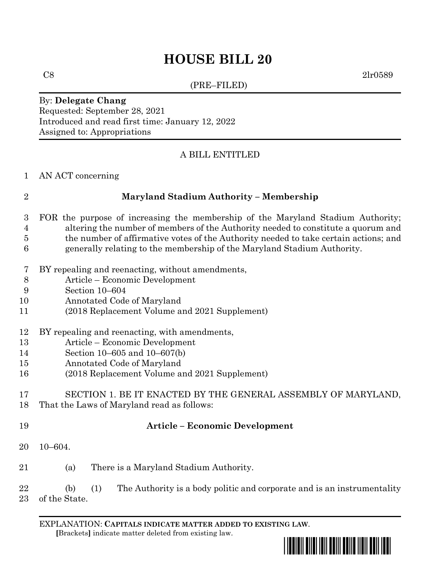## **HOUSE BILL 20**

(PRE–FILED)

 $C8$  2lr0589

#### By: **Delegate Chang** Requested: September 28, 2021 Introduced and read first time: January 12, 2022 Assigned to: Appropriations

### A BILL ENTITLED

#### AN ACT concerning

### **Maryland Stadium Authority – Membership**

- FOR the purpose of increasing the membership of the Maryland Stadium Authority; altering the number of members of the Authority needed to constitute a quorum and the number of affirmative votes of the Authority needed to take certain actions; and generally relating to the membership of the Maryland Stadium Authority.
- BY repealing and reenacting, without amendments,
- Article Economic Development
- Section 10–604
- Annotated Code of Maryland
- (2018 Replacement Volume and 2021 Supplement)

#### BY repealing and reenacting, with amendments,

- Article Economic Development
- Section 10–605 and 10–607(b)
- Annotated Code of Maryland
- (2018 Replacement Volume and 2021 Supplement)

# SECTION 1. BE IT ENACTED BY THE GENERAL ASSEMBLY OF MARYLAND,

- That the Laws of Maryland read as follows:
- 

#### **Article – Economic Development**

- 10–604.
- (a) There is a Maryland Stadium Authority.

#### (b) (1) The Authority is a body politic and corporate and is an instrumentality of the State.

EXPLANATION: **CAPITALS INDICATE MATTER ADDED TO EXISTING LAW**.  **[**Brackets**]** indicate matter deleted from existing law.

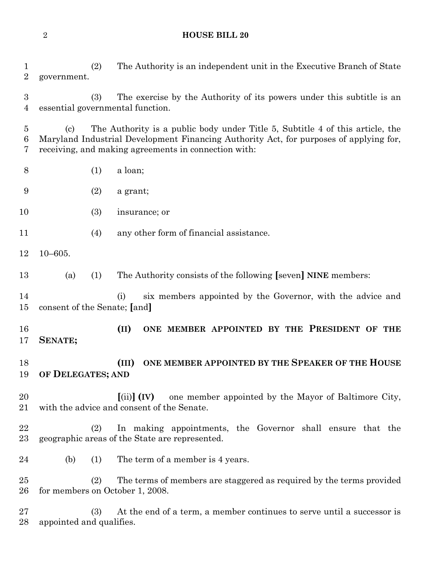#### **HOUSE BILL 20**

 (2) The Authority is an independent unit in the Executive Branch of State government.

 (3) The exercise by the Authority of its powers under this subtitle is an essential governmental function.

 (c) The Authority is a public body under Title 5, Subtitle 4 of this article, the Maryland Industrial Development Financing Authority Act, for purposes of applying for, receiving, and making agreements in connection with:

- (1) a loan;
- (2) a grant;
- (3) insurance; or
- (4) any other form of financial assistance.
- 10–605.
- (a) (1) The Authority consists of the following **[**seven**] NINE** members:
- (i) six members appointed by the Governor, with the advice and consent of the Senate; **[**and**]**
- **(II) ONE MEMBER APPOINTED BY THE PRESIDENT OF THE SENATE;**
- **(III) ONE MEMBER APPOINTED BY THE SPEAKER OF THE HOUSE OF DELEGATES; AND**
- **[**(ii)**] (IV)** one member appointed by the Mayor of Baltimore City, with the advice and consent of the Senate.
- (2) In making appointments, the Governor shall ensure that the geographic areas of the State are represented.
- (b) (1) The term of a member is 4 years.

 (2) The terms of members are staggered as required by the terms provided for members on October 1, 2008.

 (3) At the end of a term, a member continues to serve until a successor is appointed and qualifies.